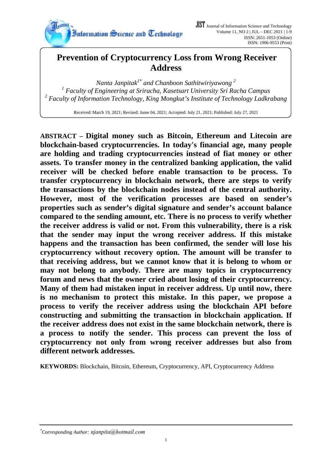

# **Prevention of Cryptocurrency Loss from Wrong Receiver Address**

*Nanta Janpitak1\* and Chanboon Sathitwiriyawong 2 1 Faculty of Engineering at Sriracha, Kasetsart University Sri Racha Campus*  <sup>2</sup> Faculty of Information Technology, King Mongkut's Institute of Technology Ladkrabang

Received: March 19, 2021; Revised: Jume 04, 2021; Accepted: July 21, 2021; Published: July 27, 2021

**ABSTRACT – Digital money such as Bitcoin, Ethereum and Litecoin are blockchain-based cryptocurrencies. In today's financial age, many people are holding and trading cryptocurrencies instead of fiat money or other assets. To transfer money in the centralized banking application, the valid receiver will be checked before enable transaction to be process. To transfer cryptocurrency in blockchain network, there are steps to verify the transactions by the blockchain nodes instead of the central authority. However, most of the verification processes are based on sender's properties such as sender's digital signature and sender's account balance compared to the sending amount, etc. There is no process to verify whether the receiver address is valid or not. From this vulnerability, there is a risk that the sender may input the wrong receiver address. If this mistake happens and the transaction has been confirmed, the sender will lose his cryptocurrency without recovery option. The amount will be transfer to that receiving address, but we cannot know that it is belong to whom or may not belong to anybody. There are many topics in cryptocurrency forum and news that the owner cried about losing of their cryptocurrency. Many of them had mistaken input in receiver address. Up until now, there is no mechanism to protect this mistake. In this paper, we propose a process to verify the receiver address using the blockchain API before constructing and submitting the transaction in blockchain application. If the receiver address does not exist in the same blockchain network, there is a process to notify the sender. This process can prevent the loss of cryptocurrency not only from wrong receiver addresses but also from different network addresses.**

**KEYWORDS:** Blockchain, Bitcoin, Ethereum, Cryptocurrency, API, Cryptocurrency Address

## *\* Corresponding Author: njanpita@hotmail.com*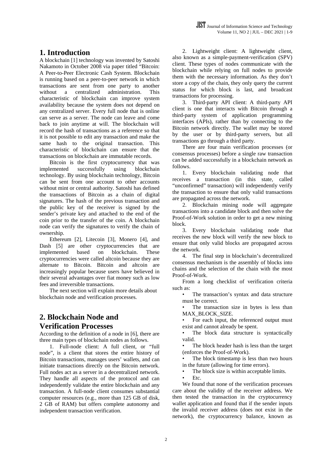#### **1. Introduction**

A blockchain [1] technology was invented by Satoshi Nakamoto in October 2008 via paper titled "Bitcoin: A Peer-to-Peer Electronic Cash System. Blockchain is running based on a peer-to-peer network in which transactions are sent from one party to another without a centralized administration. This characteristic of blockchain can improve system availability because the system does not depend on any centralized server. Every full node that is online can serve as a server. The node can leave and come back to join anytime at will. The blockchain will record the hash of transactions as a reference so that it is not possible to edit any transaction and make the same hash to the original transaction. This characteristic of blockchain can ensure that the transactions on blockchain are immutable records.

Bitcoin is the first cryptocurrency that was implemented successfully using blockchain technology. By using blockchain technology, Bitcoin can be sent from one account to other accounts without mint or central authority. Satoshi has defined the transactions of Bitcoin as a chain of digital signatures. The hash of the previous transaction and the public key of the receiver is signed by the sender's private key and attached to the end of the coin prior to the transfer of the coin. A blockchain node can verify the signatures to verify the chain of ownership.

Ethereum [2], Litecoin [3], Monero [4], and Dash [5] are other cryptocurrencies that are implemented based on blockchain. These cryptocurrencies were called altcoin because they are alternate to Bitcoin. Bitcoin and altcoin are increasingly popular because users have believed in their several advantages over fiat money such as low fees and irreversible transactions.

The next section will explain more details about blockchain node and verification processes.

### **2. Blockchain Node and Verification Processes**

According to the definition of a node in [6], there are three main types of blockchain nodes as follows.

1. Full-node client: A full client, or "full node", is a client that stores the entire history of Bitcoin transactions, manages users' wallets, and can initiate transactions directly on the Bitcoin network. Full nodes act as a server in a decentralized network. They handle all aspects of the protocol and can independently validate the entire blockchain and any transaction. A full-node client consumes substantial computer resources (e.g., more than 125 GB of disk, 2 GB of RAM) but offers complete autonomy and independent transaction verification.

2. Lightweight client: A lightweight client, also known as a simple-payment-verification (SPV) client. These types of nodes communicate with the blockchain while relying on full nodes to provide them with the necessary information. As they don't store a copy of the chain, they only query the current status for which block is last, and broadcast transactions for processing.

3. Third-party API client: A third-party API client is one that interacts with Bitcoin through a third-party system of application programming interfaces (APIs), rather than by connecting to the Bitcoin network directly. The wallet may be stored by the user or by third-party servers, but all transactions go through a third party.

There are four main verification processes (or consensus processes) before a single raw transaction can be added successfully in a blockchain network as follows.

1. Every blockchain validating node that receives a transaction (in this state, called "unconfirmed" transaction) will independently verify the transaction to ensure that only valid transactions are propagated across the network.

2. Blockchain mining node will aggregate transactions into a candidate block and then solve the Proof-of-Work solution in order to get a new mining block.

3. Every blockchain validating node that receives the new block will verify the new block to ensure that only valid blocks are propagated across the network.

4. The final step in blockchain's decentralized consensus mechanism is the assembly of blocks into chains and the selection of the chain with the most Proof-of-Work.

From a long checklist of verification criteria such as:

The transaction's syntax and data structure must be correct.

The transaction size in bytes is less than MAX\_BLOCK\_SIZE.

• For each input, the referenced output must exist and cannot already be spent.

The block data structure is syntactically valid.

The block header hash is less than the target (enforces the Proof-of-Work).

The block timestamp is less than two hours in the future (allowing for time errors).

The block size is within acceptable limits.

 $F_{\text{fc}}$ 

We found that none of the verification processes care about the validity of the receiver address. We then tested the transaction in the cryptocurrency wallet application and found that if the sender inputs the invalid receiver address (does not exist in the network), the cryptocurrency balance, known as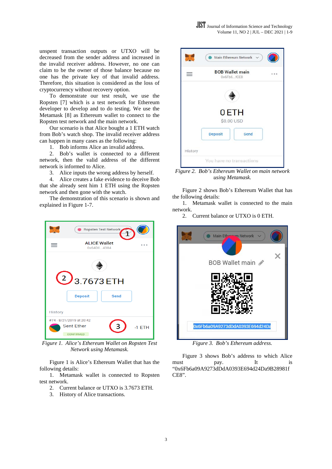unspent transaction outputs or UTXO will be decreased from the sender address and increased in the invalid receiver address. However, no one can claim to be the owner of those balance because no one has the private key of that invalid address. Therefore, this situation is considered as the loss of cryptocurrency without recovery option.

To demonstrate our test result, we use the Ropsten [7] which is a test network for Ethereum developer to develop and to do testing. We use the Metamask [8] as Ethereum wallet to connect to the Ropsten test network and the main network.

Our scenario is that Alice bought a 1 ETH watch from Bob's watch shop. The invalid receiver address can happen in many cases as the following:

1. Bob informs Alice an invalid address.

2. Bob's wallet is connected to a different network, then the valid address of the different network is informed to Alice.

3. Alice inputs the wrong address by herself.

4. Alice creates a fake evidence to deceive Bob that she already sent him 1 ETH using the Ropsten network and then gone with the watch.

The demonstration of this scenario is shown and explained in Figure 1-7.



*Figure 1. Alice's Ethereum Wallet on Ropsten Test Network using Metamask.* 

Figure 1 is Alice's Ethereum Wallet that has the following details:

1. Metamask wallet is connected to Ropsten test network.

- 2. Current balance or UTXO is 3.7673 ETH.
- 3. History of Alice transactions.



*Figure 2. Bob's Ethereum Wallet on main network using Metamask.* 

Figure 2 shows Bob's Ethereum Wallet that has the following details:

1. Metamask wallet is connected to the main network.

2. Current balance or UTXO is 0 ETH.



*Figure 3. Bob's Ethereum address.* 

Figure 3 shows Bob's address to which Alice must pay. It is "0x6Fb6a09A9273dDdA0393E694d24Da9B28981f CE8".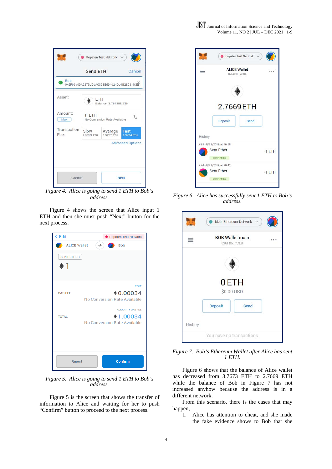

| <b>Bob</b><br>σ<br>0x6Fb6a09A9273dDdA0393E694d24Da9B28981fCE8 |                                               |                         |  |  |
|---------------------------------------------------------------|-----------------------------------------------|-------------------------|--|--|
|                                                               |                                               |                         |  |  |
| Asset:                                                        | FTH<br>Balance: 3.767285 ETH                  |                         |  |  |
| Amount:<br>Max                                                | $1$ ETH<br>T,<br>No Conversion Rate Available |                         |  |  |
| Transaction<br>Slow<br>Fee:                                   | Average<br>0.00021 ETH<br>0.00025 ETH         | Fast<br>0.00034 ETH     |  |  |
|                                                               |                                               | <b>Advanced Options</b> |  |  |

*Figure 4. Alice is going to send 1 ETH to Bob's address.* 

Figure 4 shows the screen that Alice input 1 ETH and then she must push "Next" button for the next process.



*Figure 5. Alice is going to send 1 ETH to Bob's address.* 

Figure 5 is the screen that shows the transfer of information to Alice and waiting for her to push "Confirm" button to proceed to the next process.



*Figure 6. Alice has successfully sent 1 ETH to Bob's address.* 



*Figure 7. Bob's Ethereum Wallet after Alice has sent 1 ETH.* 

Figure 6 shows that the balance of Alice wallet has decreased from 3.7673 ETH to 2.7669 ETH while the balance of Bob in Figure 7 has not increased anyhow because the address is in a different network.

From this scenario, there is the cases that may happen,

1. Alice has attention to cheat, and she made the fake evidence shows to Bob that she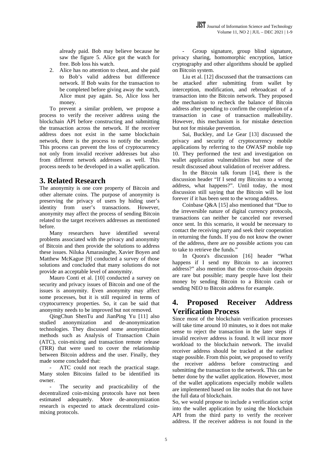already paid. Bob may believe because he saw the figure 5. Alice got the watch for free. Bob loss his watch.

2. Alice has no attention to cheat, and she paid to Bob's valid address but difference network. If Bob waits for the transaction to be completed before giving away the watch, Alice must pay again. So, Alice loss her money.

To prevent a similar problem, we propose a process to verify the receiver address using the blockchain API before constructing and submitting the transaction across the network. If the receiver address does not exist in the same blockchain network, there is the process to notify the sender. This process can prevent the loss of cryptocurrency not only from invalid receiver addresses but also from different network addresses as well. This process needs to be developed in a wallet application.

### **3. Related Research**

The anonymity is one core property of Bitcoin and other alternate coins. The purpose of anonymity is preserving the privacy of users by hiding user's identity from user's transactions. However, anonymity may affect the process of sending Bitcoin related to the target receivers addresses as mentioned before.

Many researchers have identified several problems associated with the privacy and anonymity of Bitcoin and then provide the solutions to address these issues. Niluka Amarasinghe, Xavier Boyen and Matthew McKague [9] conducted a survey of those solutions and concluded that many solutions do not provide an acceptable level of anonymity.

Mauro Conti et al. [10] conducted a survey on security and privacy issues of Bitcoin and one of the issues is anonymity. Even anonymity may affect some processes, but it is still required in terms of cryptocurrency properties. So, it can be said that anonymity needs to be improved but not removed.

QingChun ShenTu and JianPing Yu [11] also studied anonymization and de-anonymization technologies. They discussed some anonymization methods such as Analysis of Transaction Chain (ATC), coin-mixing and transaction remote release (TRR) that were used to cover the relationship between Bitcoin address and the user. Finally, they made some concluded that:

ATC could not reach the practical stage. Many stolen Bitcoins failed to be identified its owner.

The security and practicability of the decentralized coin-mixing protocols have not been estimated adequately. More de-anonymization research is expected to attack decentralized coinmixing protocols.

Group signature, group blind signature, privacy sharing, homomorphic encryption, lattice cryptography and other algorithms should be applied on Bitcoin system.

Liu et al. [12] discussed that the transactions can be attacked after submitting from wallet by interception, modification, and rebroadcast of a transaction into the Bitcoin network. They proposed the mechanism to recheck the balance of Bitcoin address after spending to confirm the completion of a transaction in case of transaction malleability. However, this mechanism is for mistake detection but not for mistake prevention.

Sai, Buckley, and Le Gear [13] discussed the privacy and security of cryptocurrency mobile applications by referring to the OWASP mobile top 10. They performed the test and investigation on wallet application vulnerabilities but none of the result discussed about validation of receiver address.

In the Bitcoin talk forum [14], there is the discussion header "If I send my Bitcoins to a wrong address, what happens?". Until today, the most discussion still saying that the Bitcoin will be lost forever if it has been sent to the wrong address.

Coinbase Q&A [15] also mentioned that "Due to the irreversible nature of digital currency protocols, transactions can neither be canceled nor reversed once sent. In this scenario, it would be necessary to contact the receiving party and seek their cooperation in returning the funds. If you do not know the owner of the address, there are no possible actions you can to take to retrieve the funds."

In Quora's discussion [16] header "What happens if I send my Bitcoin to an incorrect address?" also mention that the cross-chain deposits are rare but possible; many people have lost their money by sending Bitcoin to a Bitcoin cash or sending NEO to Bitcoin address for example.

### **4. Proposed Receiver Address Verification Process**

Since most of the blockchain verification processes will take time around 10 minutes, so it does not make sense to reject the transaction in the later steps if invalid receiver address is found. It will incur more workload to the blockchain network. The invalid receiver address should be tracked at the earliest stage possible. From this point, we proposed to verify the receiver address before constructing and submitting the transaction to the network. This can be better done by the wallet application. However, most of the wallet applications especially mobile wallets are implemented based on lite nodes that do not have the full data of blockchain.

So, we would propose to include a verification script into the wallet application by using the blockchain API from the third party to verify the receiver address. If the receiver address is not found in the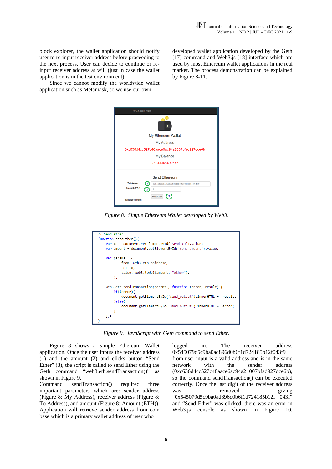block explorer, the wallet application should notify user to re-input receiver address before proceeding to the next process. User can decide to continue or reinput receiver address at will (just in case the wallet application is in the test environment).

Since we cannot modify the worldwide wallet application such as Metamask, so we use our own

developed wallet application developed by the Geth [17] command and Web3.js [18] interface which are used by most Ethereum wallet applications in the real market. The process demonstration can be explained by Figure 8-11.

| My Ethereum Wallet                                                   |  |  |  |  |  |
|----------------------------------------------------------------------|--|--|--|--|--|
|                                                                      |  |  |  |  |  |
| My Ethereum Wallet                                                   |  |  |  |  |  |
| My Address                                                           |  |  |  |  |  |
| 0xc636d4cc527c48aace6ac94a2007bfad927dce6b                           |  |  |  |  |  |
| My Balance                                                           |  |  |  |  |  |
| 71.999454 ether                                                      |  |  |  |  |  |
| Send Ethereum                                                        |  |  |  |  |  |
| <b>To Address</b><br>1<br>0x545079d5c9ba0ad896d0b6f1d724185b12f043f9 |  |  |  |  |  |
| Amount (ETH)<br>2<br>$\overline{2}$                                  |  |  |  |  |  |
| Send Ether<br><b>Transaction Hash</b>                                |  |  |  |  |  |

*Figure 8. Simple Ethereum Wallet developed by Web3.* 



*Figure 9. JavaScript with Geth command to send Ether.* 

Figure 8 shows a simple Ethereum Wallet application. Once the user inputs the receiver address (1) and the amount (2) and clicks button "Send Ether" (3), the script is called to send Ether using the Geth command "web3.eth.sendTransaction()" as shown in Figure 9.

Command sendTransaction() required three important parameters which are: sender address (Figure 8: My Address), receiver address (Figure 8: To Address), and amount (Figure 8: Amount (ETH)). Application will retrieve sender address from coin base which is a primary wallet address of user who

logged in. The receiver address 0x545079d5c9ba0ad896d0b6f1d724185b12f043f9 from user input is a valid address and is in the same network with the sender address (0xc636d4cc527c48aace6ac94a2 007bfad927dce6b), so the command sendTransaction() can be executed correctly. Once the last digit of the receiver address was removed giving "0x545079d5c9ba0ad896d0b6f1d724185b12f 043f" and "Send Ether" was clicked, there was an error in Web3.js console as shown in Figure 10.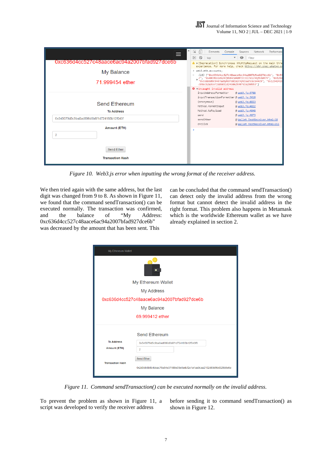| ⋿                                          |  | ⋤             | ΛI<br>Elements                                                                                                                                                        | Console | Sources                          | Network                        | Performan |
|--------------------------------------------|--|---------------|-----------------------------------------------------------------------------------------------------------------------------------------------------------------------|---------|----------------------------------|--------------------------------|-----------|
|                                            |  | $\mathbb{F}$  | $\bigcirc$ top                                                                                                                                                        |         | $\bullet$ $\bullet$ Filter       |                                |           |
| 0xc636d4cc527c48aace6ac94a2007bfad927dce6b |  |               | A ▶ [Deprecation] Synchronous XMLHttpRequest on the main thre<br>experience. For more help, check https://xhr.spec.whatwg.or                                          |         |                                  |                                |           |
| My Balance                                 |  |               | > web3.eth.accounts:<br>(10) ["0xc636d4cc527c48aace6ac94a2007bfad927dce6b", "0x54                                                                                     |         |                                  |                                |           |
| 71.999454 ether                            |  |               | %", "0x48c0bb109247f684cd4d872c3317e1c4bf53d474", "0x526d"<br>"0xce8b589c0407ad5f607d81b2c4fd1ad7caca44c9", "0x1234241b"<br>c80ec52a3ce72d89031d2498625987d1d290953"] |         |                                  |                                |           |
|                                            |  |               | O vUncaught invalid address                                                                                                                                           |         |                                  |                                |           |
|                                            |  |               | inputAddressFormatter                                                                                                                                                 |         | @ web3.is:3788                   |                                |           |
| <b>Send Ethereum</b>                       |  |               | inputTransactionFormatter @ web3.js:3618                                                                                                                              |         |                                  |                                |           |
|                                            |  |               | (anonymous)                                                                                                                                                           |         | @ web3.is:4823                   |                                |           |
|                                            |  |               | Method.formatInput<br>Method.toPayload                                                                                                                                |         | @ web3.js:4822<br>@ web3.js:4848 |                                |           |
| <b>To Address</b>                          |  |               | send                                                                                                                                                                  |         | @ web3.js:4873                   |                                |           |
| 0x545079d5c9ba0ad896d0b6f1d724185b12f043f  |  |               | sendEther                                                                                                                                                             |         |                                  | @ Wallet TestReceiver.html:58  |           |
| <b>Amount (ETH)</b>                        |  |               | onclick                                                                                                                                                               |         |                                  | @ Wallet TestReceiver.html:211 |           |
|                                            |  | $\rightarrow$ |                                                                                                                                                                       |         |                                  |                                |           |
| $\overline{2}$                             |  |               |                                                                                                                                                                       |         |                                  |                                |           |
|                                            |  |               |                                                                                                                                                                       |         |                                  |                                |           |
|                                            |  |               |                                                                                                                                                                       |         |                                  |                                |           |
| <b>Send Ether</b>                          |  |               |                                                                                                                                                                       |         |                                  |                                |           |
|                                            |  |               |                                                                                                                                                                       |         |                                  |                                |           |
| <b>Transaction Hash</b>                    |  |               |                                                                                                                                                                       |         |                                  |                                |           |
|                                            |  |               |                                                                                                                                                                       |         |                                  |                                |           |

*Figure 10. Web3.js error when inputting the wrong format of the receiver address.* 

We then tried again with the same address, but the last digit was changed from 9 to 8. As shown in Figure 11, we found that the command sendTransaction() can be executed normally. The transaction was confirmed, and the balance of "My Address: 0xc636d4cc527c48aace6ac94a2007bfad927dce6b" was decreased by the amount that has been sent. This

can be concluded that the command sendTransaction() can detect only the invalid address from the wrong format but cannot detect the invalid address in the right format. This problem also happens in Metamask which is the worldwide Ethereum wallet as we have already explained in section 2.

| My Ethereum Wallet                         |                                                                    |  |  |  |  |  |
|--------------------------------------------|--------------------------------------------------------------------|--|--|--|--|--|
|                                            |                                                                    |  |  |  |  |  |
| My Ethereum Wallet                         |                                                                    |  |  |  |  |  |
| <b>My Address</b>                          |                                                                    |  |  |  |  |  |
| 0xc636d4cc527c48aace6ac94a2007bfad927dce6b |                                                                    |  |  |  |  |  |
| My Balance                                 |                                                                    |  |  |  |  |  |
| 69.999412 ether                            |                                                                    |  |  |  |  |  |
|                                            | <b>Send Ethereum</b>                                               |  |  |  |  |  |
| <b>To Address</b>                          | 0x545079d5c9ba0ad896d0b6f1d724185b12f043f8                         |  |  |  |  |  |
| <b>Amount (ETH)</b>                        | $\overline{2}$                                                     |  |  |  |  |  |
| <b>Transaction Hash</b>                    | Send Ether                                                         |  |  |  |  |  |
|                                            | 0x2d3db8b8b4deac75a54e37488e09e0adcf2e1a1aa9caa2102d69d9bd329b8e6e |  |  |  |  |  |
|                                            |                                                                    |  |  |  |  |  |

*Figure 11. Command sendTransaction() can be executed normally on the invalid address*.

To prevent the problem as shown in Figure 11, a script was developed to verify the receiver address

before sending it to command sendTransaction() as shown in Figure 12.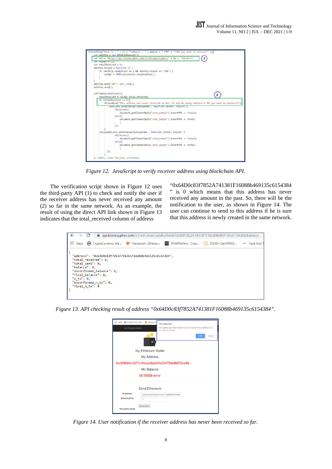

*Figure 12. JavaScript to verify receiver address using blockchain API.* 

The verification script shown in Figure 12 uses the third-party API (1) to check and notify the user if the receiver address has never received any amount (2) so far in the same network. As an example, the result of using the direct API link shown in Figure 13 indicates that the total\_received column of address

"0x64D0c83f7852A741381F16088b469135c6154384 " is 0 which means that this address has never received any amount in the past. So, there will be the notification to the user, as shown in Figure 14. The user can continue to send to this address if he is sure that this address is newly created in the same network.



*Figure 13. API checking result of address "0x64D0c83f7852A741381F16088b469135c6154384".* 

| Apps @ CryptoCurrency Ma<br>My Ethereum Wallet               | Nanopool  <br>This page says<br>This address has never received so far. It may be wrong address !!! Do<br>you want to process?<br>OK<br>Cancel<br>٠<br>My Ethereum Wallet<br><b>My Address</b><br>0xc636d4cc527c48aace6ac94a2007bfad927dce6b<br>My Balance<br>68.99958 ether |
|--------------------------------------------------------------|------------------------------------------------------------------------------------------------------------------------------------------------------------------------------------------------------------------------------------------------------------------------------|
| <b>To Address</b><br>Amount (ETH)<br><b>Transaction Hash</b> | Send Ethereum<br>0x64D0c83f7852A741381F16088b469135c6<br>3<br>Send Ether                                                                                                                                                                                                     |

*Figure 14. User notification if the receiver address has never been received so far.*